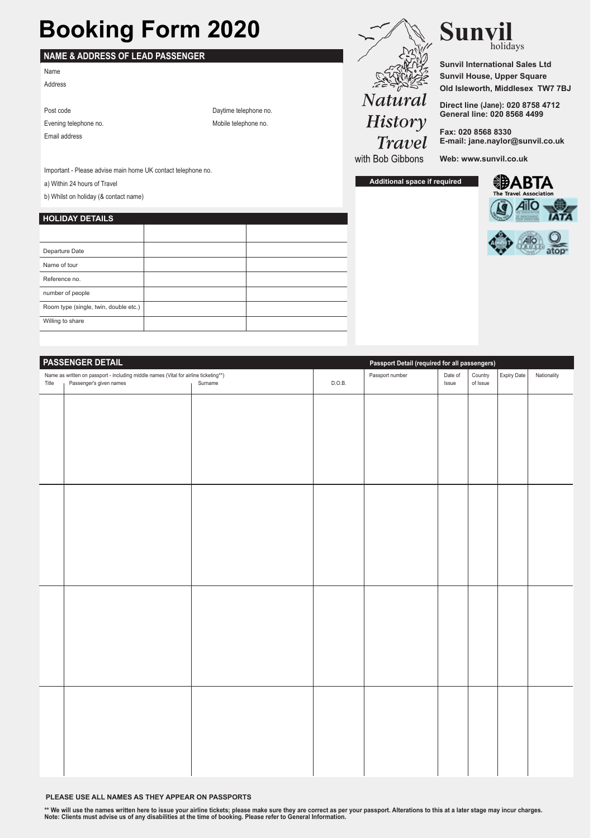## **Booking Form 2020**

## **NAME & ADDRESS OF LEAD PASSENGER**

Name Address

| Daytime telephone no. |
|-----------------------|
| Mobile telephone no.  |
|                       |
|                       |

Important - Please advise main home UK contact telephone no.

a) Within 24 hours of Travel

b) Whilst on holiday (& contact name)

## **HOLIDAY DETAILS**

| Departure Date                        |  |
|---------------------------------------|--|
| Name of tour                          |  |
| Reference no.                         |  |
| number of people                      |  |
| Room type (single, twin, double etc.) |  |
| Willing to share                      |  |



**Sunvil** holidays

**Sunvil International Sales Ltd Sunvil House, Upper Square Old Isleworth, Middlesex TW7 7BJ**

**Direct line (Jane): 020 8758 4712 General line: 020 8568 4499**

**Fax: 020 8568 8330 E-mail: jane.naylor@sunvil.co.uk**

with Bob Gibbons

**Additional space if required**





| <b>PASSENGER DETAIL</b> |                                                                                      |         | Passport Detail (required for all passengers) |                 |         |          |             |             |
|-------------------------|--------------------------------------------------------------------------------------|---------|-----------------------------------------------|-----------------|---------|----------|-------------|-------------|
|                         | Name as written on passport - including middle names (Vital for airline ticketing**) |         |                                               | Passport number | Date of | Country  | Expiry Date | Nationality |
| Title                   | Passenger's given names                                                              | Surname | D.O.B.                                        |                 | Issue   | of Issue |             |             |
|                         |                                                                                      |         |                                               |                 |         |          |             |             |
|                         |                                                                                      |         |                                               |                 |         |          |             |             |
|                         |                                                                                      |         |                                               |                 |         |          |             |             |
|                         |                                                                                      |         |                                               |                 |         |          |             |             |
|                         |                                                                                      |         |                                               |                 |         |          |             |             |
|                         |                                                                                      |         |                                               |                 |         |          |             |             |
|                         |                                                                                      |         |                                               |                 |         |          |             |             |
|                         |                                                                                      |         |                                               |                 |         |          |             |             |
|                         |                                                                                      |         |                                               |                 |         |          |             |             |
|                         |                                                                                      |         |                                               |                 |         |          |             |             |
|                         |                                                                                      |         |                                               |                 |         |          |             |             |
|                         |                                                                                      |         |                                               |                 |         |          |             |             |
|                         |                                                                                      |         |                                               |                 |         |          |             |             |
|                         |                                                                                      |         |                                               |                 |         |          |             |             |
|                         |                                                                                      |         |                                               |                 |         |          |             |             |
|                         |                                                                                      |         |                                               |                 |         |          |             |             |
|                         |                                                                                      |         |                                               |                 |         |          |             |             |
|                         |                                                                                      |         |                                               |                 |         |          |             |             |
|                         |                                                                                      |         |                                               |                 |         |          |             |             |
|                         |                                                                                      |         |                                               |                 |         |          |             |             |
|                         |                                                                                      |         |                                               |                 |         |          |             |             |
|                         |                                                                                      |         |                                               |                 |         |          |             |             |
|                         |                                                                                      |         |                                               |                 |         |          |             |             |
|                         |                                                                                      |         |                                               |                 |         |          |             |             |
|                         |                                                                                      |         |                                               |                 |         |          |             |             |
|                         |                                                                                      |         |                                               |                 |         |          |             |             |
|                         |                                                                                      |         |                                               |                 |         |          |             |             |
|                         |                                                                                      |         |                                               |                 |         |          |             |             |
|                         |                                                                                      |         |                                               |                 |         |          |             |             |
|                         |                                                                                      |         |                                               |                 |         |          |             |             |
|                         |                                                                                      |         |                                               |                 |         |          |             |             |
|                         |                                                                                      |         |                                               |                 |         |          |             |             |
|                         |                                                                                      |         |                                               |                 |         |          |             |             |

**PLEASE USE ALL NAMES AS THEY APPEAR ON PASSPORTS**

\*\* We will use the names written here to issue your airline tickets; please make sure they are correct as per your passport. Alterations to this at a later stage may incur charges.<br>Note: Clients must advise us of any disab